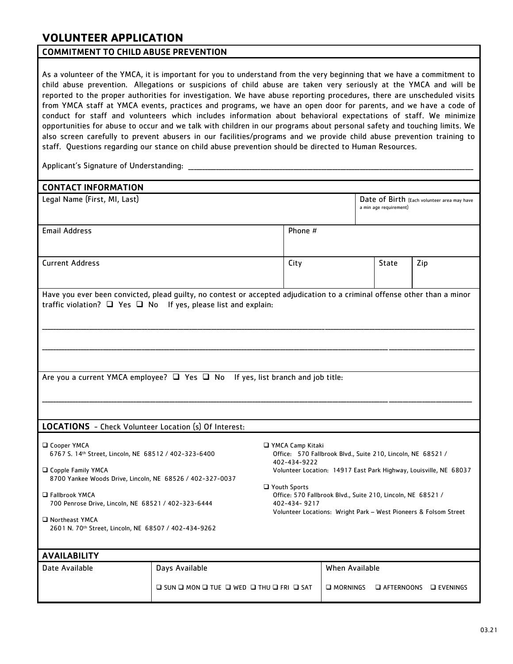## **VOLUNTEER APPLICATION**

### COMMITMENT TO CHILD ABUSE PREVENTION

As a volunteer of the YMCA, it is important for you to understand from the very beginning that we have a commitment to child abuse prevention. Allegations or suspicions of child abuse are taken very seriously at the YMCA and will be reported to the proper authorities for investigation. We have abuse reporting procedures, there are unscheduled visits from YMCA staff at YMCA events, practices and programs, we have an open door for parents, and we have a code of conduct for staff and volunteers which includes information about behavioral expectations of staff. We minimize opportunities for abuse to occur and we talk with children in our programs about personal safety and touching limits. We also screen carefully to prevent abusers in our facilities/programs and we provide child abuse prevention training to staff. Questions regarding our stance on child abuse prevention should be directed to Human Resources.

Applicant's Signature of Understanding: \_

| <b>CONTACT INFORMATION</b>                                                                                                                                                                           |                                                                                                   |                                                                                                                                                                                          |                       |                                                                       |                   |
|------------------------------------------------------------------------------------------------------------------------------------------------------------------------------------------------------|---------------------------------------------------------------------------------------------------|------------------------------------------------------------------------------------------------------------------------------------------------------------------------------------------|-----------------------|-----------------------------------------------------------------------|-------------------|
| Legal Name (First, MI, Last)                                                                                                                                                                         |                                                                                                   |                                                                                                                                                                                          |                       | Date of Birth (Each volunteer area may have<br>a min age requirement) |                   |
| <b>Email Address</b>                                                                                                                                                                                 |                                                                                                   | Phone #                                                                                                                                                                                  |                       |                                                                       |                   |
| <b>Current Address</b>                                                                                                                                                                               |                                                                                                   | City                                                                                                                                                                                     |                       | State                                                                 | Zip               |
| Have you ever been convicted, plead guilty, no contest or accepted adjudication to a criminal offense other than a minor<br>traffic violation? $\Box$ Yes $\Box$ No If yes, please list and explain: |                                                                                                   |                                                                                                                                                                                          |                       |                                                                       |                   |
| Are you a current YMCA employee? $\Box$ Yes $\Box$ No If yes, list branch and job title:                                                                                                             |                                                                                                   |                                                                                                                                                                                          |                       |                                                                       |                   |
| LOCATIONS - Check Volunteer Location (s) Of Interest:                                                                                                                                                |                                                                                                   |                                                                                                                                                                                          |                       |                                                                       |                   |
| □ Cooper YMCA<br>6767 S. 14th Street, Lincoln, NE 68512 / 402-323-6400<br>□ Copple Family YMCA<br>8700 Yankee Woods Drive, Lincoln, NE 68526 / 402-327-0037                                          |                                                                                                   | □ YMCA Camp Kitaki<br>Office: 570 Fallbrook Blvd., Suite 210, Lincoln, NE 68521 /<br>402-434-9222<br>Volunteer Location: 14917 East Park Highway, Louisville, NE 68037<br>□ Youth Sports |                       |                                                                       |                   |
| □ Fallbrook YMCA<br>700 Penrose Drive, Lincoln, NE 68521 / 402-323-6444                                                                                                                              |                                                                                                   | Office: 570 Fallbrook Blvd., Suite 210, Lincoln, NE 68521 /<br>402-434-9217<br>Volunteer Locations: Wright Park - West Pioneers & Folsom Street                                          |                       |                                                                       |                   |
| Northeast YMCA<br>2601 N. 70th Street, Lincoln, NE 68507 / 402-434-9262                                                                                                                              |                                                                                                   |                                                                                                                                                                                          |                       |                                                                       |                   |
| <b>AVAILABILITY</b>                                                                                                                                                                                  |                                                                                                   |                                                                                                                                                                                          |                       |                                                                       |                   |
| Date Available                                                                                                                                                                                       | Days Available                                                                                    |                                                                                                                                                                                          | <b>When Available</b> |                                                                       |                   |
|                                                                                                                                                                                                      | $\square$ sun $\square$ mon $\square$ tue $\square$ wed $\square$ thu $\square$ fri $\square$ sat |                                                                                                                                                                                          | O MORNINGS            | □ AFTERNOONS                                                          | <b>Q</b> EVENINGS |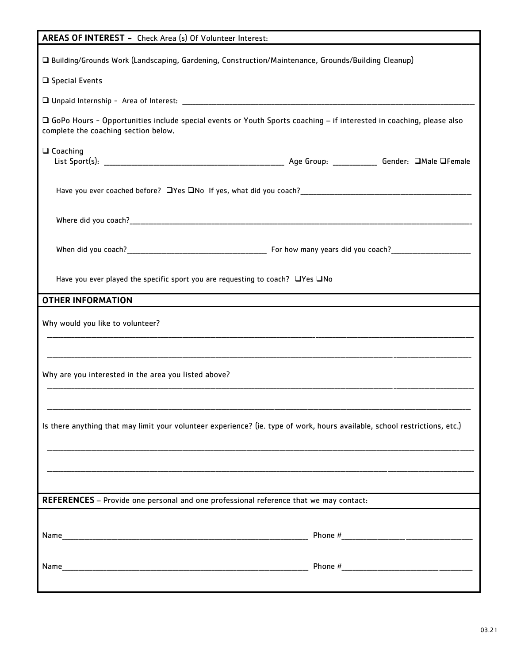| AREAS OF INTEREST - Check Area (s) Of Volunteer Interest:                                                                                                                                                                     |  |  |  |
|-------------------------------------------------------------------------------------------------------------------------------------------------------------------------------------------------------------------------------|--|--|--|
| □ Building/Grounds Work (Landscaping, Gardening, Construction/Maintenance, Grounds/Building Cleanup)                                                                                                                          |  |  |  |
| $\square$ Special Events                                                                                                                                                                                                      |  |  |  |
|                                                                                                                                                                                                                               |  |  |  |
| □ GoPo Hours - Opportunities include special events or Youth Sports coaching – if interested in coaching, please also<br>complete the coaching section below.                                                                 |  |  |  |
| $\Box$ Coaching                                                                                                                                                                                                               |  |  |  |
|                                                                                                                                                                                                                               |  |  |  |
|                                                                                                                                                                                                                               |  |  |  |
| When did you coach? Moreover, the contract of the contract of the contract of the contract of the contract of the contract of the contract of the contract of the contract of the contract of the contract of the contract of |  |  |  |
| Have you ever played the specific sport you are requesting to coach? $\Box$ Yes $\Box$ No                                                                                                                                     |  |  |  |
| <b>OTHER INFORMATION</b>                                                                                                                                                                                                      |  |  |  |
| Why would you like to volunteer?                                                                                                                                                                                              |  |  |  |
|                                                                                                                                                                                                                               |  |  |  |
| Why are you interested in the area you listed above?                                                                                                                                                                          |  |  |  |
|                                                                                                                                                                                                                               |  |  |  |
| Is there anything that may limit your volunteer experience? (ie. type of work, hours available, school restrictions, etc.)                                                                                                    |  |  |  |
|                                                                                                                                                                                                                               |  |  |  |
|                                                                                                                                                                                                                               |  |  |  |
| REFERENCES - Provide one personal and one professional reference that we may contact:                                                                                                                                         |  |  |  |
|                                                                                                                                                                                                                               |  |  |  |
|                                                                                                                                                                                                                               |  |  |  |
|                                                                                                                                                                                                                               |  |  |  |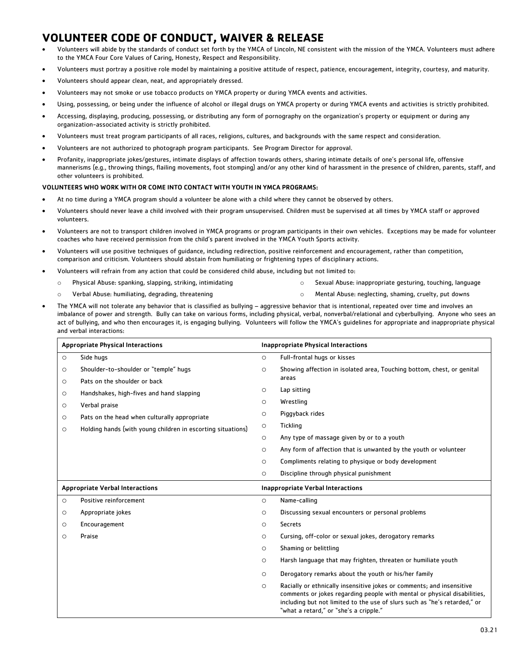# **VOLUNTEER CODE OF CONDUCT, WAIVER & RELEASE**

- Volunteers will abide by the standards of conduct set forth by the YMCA of Lincoln, NE consistent with the mission of the YMCA. Volunteers must adhere to the YMCA Four Core Values of Caring, Honesty, Respect and Responsibility.
- Volunteers must portray a positive role model by maintaining a positive attitude of respect, patience, encouragement, integrity, courtesy, and maturity.
- Volunteers should appear clean, neat, and appropriately dressed.
- Volunteers may not smoke or use tobacco products on YMCA property or during YMCA events and activities.
- Using, possessing, or being under the influence of alcohol or illegal drugs on YMCA property or during YMCA events and activities is strictly prohibited.
- Accessing, displaying, producing, possessing, or distributing any form of pornography on the organization's property or equipment or during any organization-associated activity is strictly prohibited.
- Volunteers must treat program participants of all races, religions, cultures, and backgrounds with the same respect and consideration.
- Volunteers are not authorized to photograph program participants. See Program Director for approval.
- Profanity, inappropriate jokes/gestures, intimate displays of affection towards others, sharing intimate details of one's personal life, offensive mannerisms (e.g., throwing things, flailing movements, foot stomping) and/or any other kind of harassment in the presence of children, parents, staff, and other volunteers is prohibited.

#### VOLUNTEERS WHO WORK WITH OR COME INTO CONTACT WITH YOUTH IN YMCA PROGRAMS:

- At no time during a YMCA program should a volunteer be alone with a child where they cannot be observed by others.
- Volunteers should never leave a child involved with their program unsupervised. Children must be supervised at all times by YMCA staff or approved volunteers.
- Volunteers are not to transport children involved in YMCA programs or program participants in their own vehicles. Exceptions may be made for volunteer coaches who have received permission from the child's parent involved in the YMCA Youth Sports activity.
- Volunteers will use positive techniques of guidance, including redirection, positive reinforcement and encouragement, rather than competition, comparison and criticism. Volunteers should abstain from humiliating or frightening types of disciplinary actions.
- Volunteers will refrain from any action that could be considered child abuse, including but not limited to:
	- o Physical Abuse: spanking, slapping, striking, intimidating
- o Sexual Abuse: inappropriate gesturing, touching, language

o Verbal Abuse: humiliating, degrading, threatening

- o Mental Abuse: neglecting, shaming, cruelty, put downs
- The YMCA will not tolerate any behavior that is classified as bullying aggressive behavior that is intentional, repeated over time and involves an imbalance of power and strength. Bully can take on various forms, including physical, verbal, nonverbal/relational and cyberbullying. Anyone who sees an act of bullying, and who then encourages it, is engaging bullying. Volunteers will follow the YMCA's guidelines for appropriate and inappropriate physical and verbal interactions:

|         | <b>Appropriate Physical Interactions</b>                    |         | <b>Inappropriate Physical Interactions</b>                                                                                                                                                                                                                               |
|---------|-------------------------------------------------------------|---------|--------------------------------------------------------------------------------------------------------------------------------------------------------------------------------------------------------------------------------------------------------------------------|
| $\circ$ | Side hugs                                                   | $\circ$ | Full-frontal hugs or kisses                                                                                                                                                                                                                                              |
| $\circ$ | Shoulder-to-shoulder or "temple" hugs                       | $\circ$ | Showing affection in isolated area, Touching bottom, chest, or genital                                                                                                                                                                                                   |
| $\circ$ | Pats on the shoulder or back                                |         | areas                                                                                                                                                                                                                                                                    |
| $\circ$ | Handshakes, high-fives and hand slapping                    | $\circ$ | Lap sitting                                                                                                                                                                                                                                                              |
| $\circ$ | Verbal praise                                               | $\circ$ | Wrestling                                                                                                                                                                                                                                                                |
| O       | Pats on the head when culturally appropriate                | $\circ$ | Piggyback rides                                                                                                                                                                                                                                                          |
| $\circ$ | Holding hands (with young children in escorting situations) | $\circ$ | <b>Tickling</b>                                                                                                                                                                                                                                                          |
|         |                                                             | $\circ$ | Any type of massage given by or to a youth                                                                                                                                                                                                                               |
|         |                                                             | $\circ$ | Any form of affection that is unwanted by the youth or volunteer                                                                                                                                                                                                         |
|         |                                                             | $\circ$ | Compliments relating to physique or body development                                                                                                                                                                                                                     |
|         |                                                             | $\circ$ | Discipline through physical punishment                                                                                                                                                                                                                                   |
|         | <b>Appropriate Verbal Interactions</b>                      |         | <b>Inappropriate Verbal Interactions</b>                                                                                                                                                                                                                                 |
| $\circ$ | Positive reinforcement                                      | $\circ$ | Name-calling                                                                                                                                                                                                                                                             |
| $\circ$ | Appropriate jokes                                           | $\circ$ | Discussing sexual encounters or personal problems                                                                                                                                                                                                                        |
| $\circ$ | Encouragement                                               | $\circ$ | <b>Secrets</b>                                                                                                                                                                                                                                                           |
| $\circ$ | Praise                                                      | $\circ$ | Cursing, off-color or sexual jokes, derogatory remarks                                                                                                                                                                                                                   |
|         |                                                             | $\circ$ | Shaming or belittling                                                                                                                                                                                                                                                    |
|         |                                                             | $\circ$ | Harsh language that may frighten, threaten or humiliate youth                                                                                                                                                                                                            |
|         |                                                             | $\circ$ | Derogatory remarks about the youth or his/her family                                                                                                                                                                                                                     |
|         |                                                             | $\circ$ | Racially or ethnically insensitive jokes or comments; and insensitive<br>comments or jokes regarding people with mental or physical disabilities,<br>including but not limited to the use of slurs such as "he's retarded," or<br>"what a retard," or "she's a cripple." |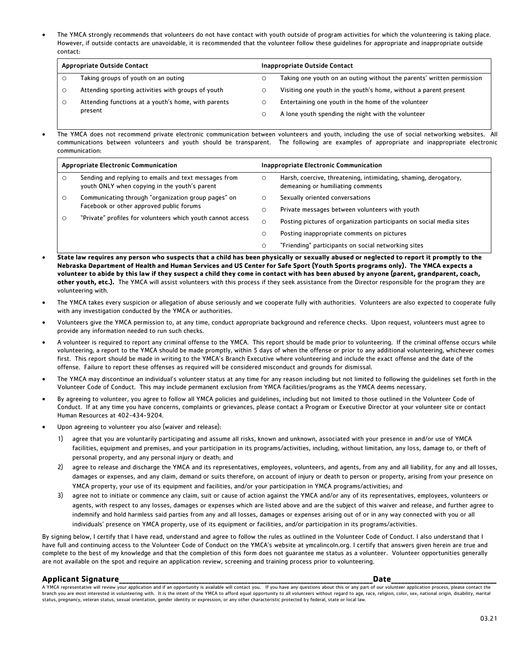The YMCA strongly recommends that volunteers do not have contact with youth outside of program activities for which the volunteering is taking place. However, if outside contacts are unavoidable, it is recommended that the volunteer follow these guidelines for appropriate and inappropriate outside contact:

|         | <b>Appropriate Outside Contact</b>                  | Inappropriate Outside Contact                                         |
|---------|-----------------------------------------------------|-----------------------------------------------------------------------|
|         | Taking groups of youth on an outing                 | Taking one youth on an outing without the parents' written permission |
|         | Attending sporting activities with groups of youth  | Visiting one youth in the youth's home, without a parent present      |
| $\circ$ | Attending functions at a youth's home, with parents | Entertaining one youth in the home of the volunteer                   |
|         | present                                             | A lone youth spending the night with the volunteer                    |

 The YMCA does not recommend private electronic communication between volunteers and youth, including the use of social networking websites. All communications between volunteers and youth should be transparent. The following are examples of appropriate and inappropriate electronic communication:

| <b>Appropriate Electronic Communication</b> |                                                                                                        | <b>Inappropriate Electronic Communication</b> |                                                                                                       |  |
|---------------------------------------------|--------------------------------------------------------------------------------------------------------|-----------------------------------------------|-------------------------------------------------------------------------------------------------------|--|
| $\circ$                                     | Sending and replying to emails and text messages from<br>youth ONLY when copying in the youth's parent | $\circ$                                       | Harsh, coercive, threatening, intimidating, shaming, derogatory,<br>demeaning or humiliating comments |  |
| $\circ$                                     | Communicating through "organization group pages" on                                                    | $\circ$                                       | Sexually oriented conversations                                                                       |  |
|                                             | Facebook or other approved public forums                                                               | $\circ$                                       | Private messages between volunteers with youth                                                        |  |
| $\circ$                                     | "Private" profiles for volunteers which youth cannot access"                                           | $\circ$                                       | Posting pictures of organization participants on social media sites                                   |  |
|                                             |                                                                                                        | $\circ$                                       | Posting inappropriate comments on pictures                                                            |  |
|                                             |                                                                                                        | $\circ$                                       | "Friending" participants on social networking sites                                                   |  |

- **State law requires any person who suspects that a child has been physically or sexually abused or neglected to report it promptly to the Nebraska Department of Health and Human Services and US Center for Safe Sport (Youth Sports programs only). The YMCA expects a volunteer to abide by this law if they suspect a child they come in contact with has been abused by anyone (parent, grandparent, coach, other youth, etc.).** The YMCA will assist volunteers with this process if they seek assistance from the Director responsible for the program they are volunteering with.
- The YMCA takes every suspicion or allegation of abuse seriously and we cooperate fully with authorities. Volunteers are also expected to cooperate fully with any investigation conducted by the YMCA or authorities.
- Volunteers give the YMCA permission to, at any time, conduct appropriate background and reference checks. Upon request, volunteers must agree to provide any information needed to run such checks.
- A volunteer is required to report any criminal offense to the YMCA. This report should be made prior to volunteering. If the criminal offense occurs while volunteering, a report to the YMCA should be made promptly, within 5 days of when the offense or prior to any additional volunteering, whichever comes first. This report should be made in writing to the YMCA's Branch Executive where volunteering and include the exact offense and the date of the offense. Failure to report these offenses as required will be considered misconduct and grounds for dismissal.
- The YMCA may discontinue an individual's volunteer status at any time for any reason including but not limited to following the guidelines set forth in the Volunteer Code of Conduct. This may include permanent exclusion from YMCA facilities/programs as the YMCA deems necessary.
- By agreeing to volunteer, you agree to follow all YMCA policies and guidelines, including but not limited to those outlined in the Volunteer Code of Conduct. If at any time you have concerns, complaints or grievances, please contact a Program or Executive Director at your volunteer site or contact Human Resources at 402-434-9204.
- Upon agreeing to volunteer you also (waiver and release):
	- 1) agree that you are voluntarily participating and assume all risks, known and unknown, associated with your presence in and/or use of YMCA facilities, equipment and premises, and your participation in its programs/activities, including, without limitation, any loss, damage to, or theft of personal property, and any personal injury or death; and
	- 2) agree to release and discharge the YMCA and its representatives, employees, volunteers, and agents, from any and all liability, for any and all losses, damages or expenses, and any claim, demand or suits therefore, on account of injury or death to person or property, arising from your presence on YMCA property, your use of its equipment and facilities, and/or your participation in YMCA programs/activities; and
	- 3) agree not to initiate or commence any claim, suit or cause of action against the YMCA and/or any of its representatives, employees, volunteers or agents, with respect to any losses, damages or expenses which are listed above and are the subject of this waiver and release, and further agree to indemnify and hold harmless said parties from any and all losses, damages or expenses arising out of or in any way connected with you or all individuals' presence on YMCA property, use of its equipment or facilities, and/or participation in its programs/activities.

By signing below, I certify that I have read, understand and agree to follow the rules as outlined in the Volunteer Code of Conduct. I also understand that I have full and continuing access to the Volunteer Code of Conduct on the YMCA's website at ymcalincoln.org. I certify that answers given herein are true and complete to the best of my knowledge and that the completion of this form does not guarantee me status as a volunteer. Volunteer opportunities generally are not available on the spot and require an application review, screening and training process prior to volunteering.

#### **Applicant Signature\_\_\_\_\_\_\_\_\_\_\_\_\_\_\_\_\_\_\_\_\_\_\_\_\_\_\_\_\_\_\_\_\_\_\_\_\_\_\_\_\_\_\_\_\_\_\_\_\_\_\_\_\_\_\_\_\_\_\_\_\_\_\_\_\_\_\_\_\_\_\_\_\_\_\_\_\_Date\_\_\_\_\_\_\_\_\_\_\_\_\_\_\_\_\_\_\_\_\_\_\_\_\_\_\_\_\_\_\_\_**

A YMCA representative will review your application and if an opportunity is available will contact you. If you have any questions about this or any part of our volunteer application process, please contact the branch you are most interested in volunteering with. It is the intent of the YMCA to afford equal opportunity to all volunteers without regard to age, race, religion, color, sex, national origin, disability, marital status, pregnancy, veteran status, sexual orientation, gender identity or expression, or any other characteristic protected by federal, state or local law.